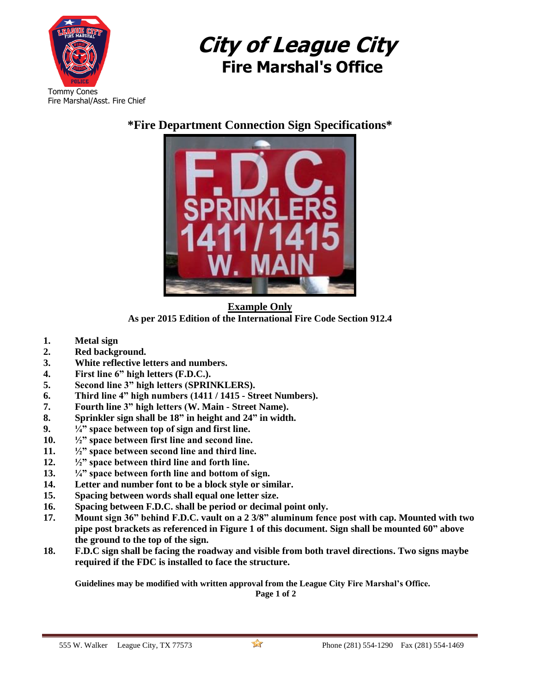

## **City of League City Fire Marshal's Office**

## **\*Fire Department Connection Sign Specifications\***



**Example Only As per 2015 Edition of the International Fire Code Section 912.4**

- **1. Metal sign**
- **2. Red background.**
- **3. White reflective letters and numbers.**
- **4. First line 6" high letters (F.D.C.).**
- **5. Second line 3" high letters (SPRINKLERS).**
- **6. Third line 4" high numbers (1411 / 1415 - Street Numbers).**
- **7. Fourth line 3" high letters (W. Main - Street Name).**
- **8. Sprinkler sign shall be 18" in height and 24" in width.**
- **9. ¼" space between top of sign and first line.**
- **10. ½" space between first line and second line.**
- **11. ½" space between second line and third line.**
- **12. ½" space between third line and forth line.**
- **13. ¼" space between forth line and bottom of sign.**
- **14. Letter and number font to be a block style or similar.**
- **15. Spacing between words shall equal one letter size.**
- **16. Spacing between F.D.C. shall be period or decimal point only.**
- **17. Mount sign 36" behind F.D.C. vault on a 2 3/8" aluminum fence post with cap. Mounted with two pipe post brackets as referenced in Figure 1 of this document. Sign shall be mounted 60" above the ground to the top of the sign.**
- **18. F.D.C sign shall be facing the roadway and visible from both travel directions. Two signs maybe required if the FDC is installed to face the structure.**

**Guidelines may be modified with written approval from the League City Fire Marshal's Office. Page 1 of 2**